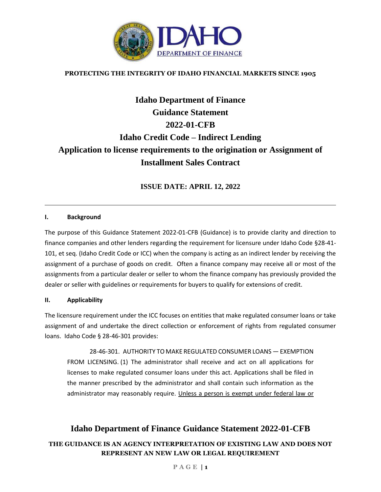

## **PROTECTING THE INTEGRITY OF IDAHO FINANCIAL MARKETS SINCE 1905**

# **Idaho Department of Finance Guidance Statement 2022-01-CFB Idaho Credit Code – Indirect Lending Application to license requirements to the origination or Assignment of Installment Sales Contract**

**ISSUE DATE: APRIL 12, 2022**

#### **I. Background**

The purpose of this Guidance Statement 2022-01-CFB (Guidance) is to provide clarity and direction to finance companies and other lenders regarding the requirement for licensure under Idaho Code §28-41- 101, et seq. (Idaho Credit Code or ICC) when the company is acting as an indirect lender by receiving the assignment of a purchase of goods on credit. Often a finance company may receive all or most of the assignments from a particular dealer or seller to whom the finance company has previously provided the dealer or seller with guidelines or requirements for buyers to qualify for extensions of credit.

#### **II. Applicability**

The licensure requirement under the ICC focuses on entities that make regulated consumer loans or take assignment of and undertake the direct collection or enforcement of rights from regulated consumer loans. Idaho Code § 28-46-301 provides:

28-46-301. AUTHORITY TO MAKE REGULATED CONSUMER LOANS — EXEMPTION FROM LICENSING. (1) The administrator shall receive and act on all applications for licenses to make regulated consumer loans under this act. Applications shall be filed in the manner prescribed by the administrator and shall contain such information as the administrator may reasonably require. Unless a person is exempt under federal law or

# **Idaho Department of Finance Guidance Statement 2022-01-CFB**

## **THE GUIDANCE IS AN AGENCY INTERPRETATION OF EXISTING LAW AND DOES NOT REPRESENT AN NEW LAW OR LEGAL REQUIREMENT**

#### **P A G E | 1**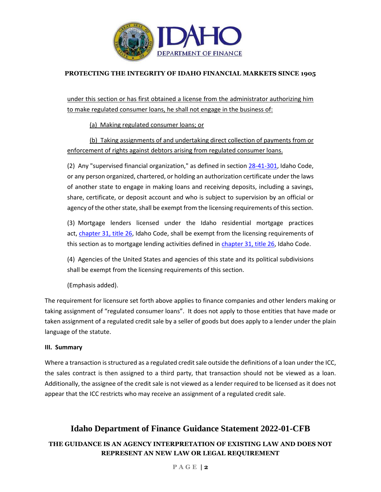

## **PROTECTING THE INTEGRITY OF IDAHO FINANCIAL MARKETS SINCE 1905**

under this section or has first obtained a license from the administrator authorizing him to make regulated consumer loans, he shall not engage in the business of:

(a) Making regulated consumer loans; or

(b) Taking assignments of and undertaking direct collection of payments from or enforcement of rights against debtors arising from regulated consumer loans.

(2) Any "supervised financial organization," as defined in section [28-41-301,](https://legislature.idaho.gov/statutesrules/idstat/Title28/T28CH41/SECT28-41-301) Idaho Code, or any person organized, chartered, or holding an authorization certificate under the laws of another state to engage in making loans and receiving deposits, including a savings, share, certificate, or deposit account and who is subject to supervision by an official or agency of the other state, shall be exempt from the licensing requirements of this section.

(3) Mortgage lenders licensed under the Idaho residential mortgage practices act, [chapter 31, title 26,](https://legislature.idaho.gov/statutesrules/idstat/Title26/T26CH31) Idaho Code, shall be exempt from the licensing requirements of this section as to mortgage lending activities defined in [chapter 31, title 26,](https://legislature.idaho.gov/statutesrules/idstat/Title26/T26CH31) Idaho Code.

(4) Agencies of the United States and agencies of this state and its political subdivisions shall be exempt from the licensing requirements of this section.

(Emphasis added).

The requirement for licensure set forth above applies to finance companies and other lenders making or taking assignment of "regulated consumer loans". It does not apply to those entities that have made or taken assignment of a regulated credit sale by a seller of goods but does apply to a lender under the plain language of the statute.

#### **III. Summary**

Where a transaction is structured as a regulated credit sale outside the definitions of a loan under the ICC, the sales contract is then assigned to a third party, that transaction should not be viewed as a loan. Additionally, the assignee of the credit sale is not viewed as a lender required to be licensed as it does not appear that the ICC restricts who may receive an assignment of a regulated credit sale.

# **Idaho Department of Finance Guidance Statement 2022-01-CFB**

# **THE GUIDANCE IS AN AGENCY INTERPRETATION OF EXISTING LAW AND DOES NOT REPRESENT AN NEW LAW OR LEGAL REQUIREMENT**

#### **P A G E | 2**